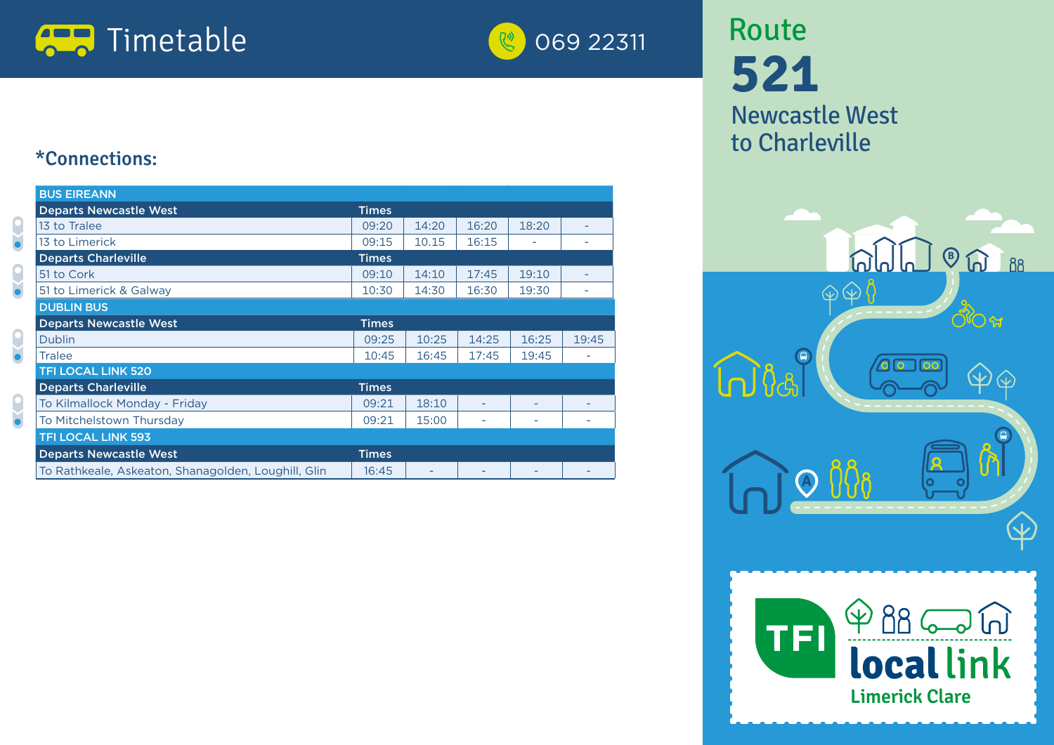



## **521** Newcastle West to Charleville Route





### \*Connections:

 $\frac{1}{2}$ 

| <b>BUS EIREANN</b>                                  |              |       |       |       |       |
|-----------------------------------------------------|--------------|-------|-------|-------|-------|
| <b>Departs Newcastle West</b>                       | <b>Times</b> |       |       |       |       |
| 13 to Tralee                                        | 09:20        | 14:20 | 16:20 | 18:20 |       |
| 13 to Limerick                                      |              | 10.15 | 16:15 |       |       |
| <b>Departs Charleville</b>                          |              |       |       |       |       |
| 51 to Cork                                          | 09:10        | 14:10 | 17:45 | 19:10 |       |
| 51 to Limerick & Galway                             | 10:30        | 14:30 | 16:30 | 19:30 | ۰     |
| <b>DUBLIN BUS</b>                                   |              |       |       |       |       |
| <b>Departs Newcastle West</b>                       | <b>Times</b> |       |       |       |       |
| <b>Dublin</b>                                       | 09:25        | 10:25 | 14:25 | 16:25 | 19:45 |
| <b>Tralee</b>                                       | 10:45        | 16:45 | 17:45 | 19:45 |       |
| <b>TFI LOCAL LINK 520</b>                           |              |       |       |       |       |
| <b>Departs Charleville</b>                          | <b>Times</b> |       |       |       |       |
| To Kilmallock Monday - Friday                       |              | 18:10 | ۰     |       |       |
| To Mitchelstown Thursday                            | 09:21        | 15:00 |       |       |       |
| <b>TFI LOCAL LINK 593</b>                           |              |       |       |       |       |
| <b>Departs Newcastle West</b>                       |              |       |       |       |       |
| To Rathkeale, Askeaton, Shanagolden, Loughill, Glin |              | ۳     |       |       |       |